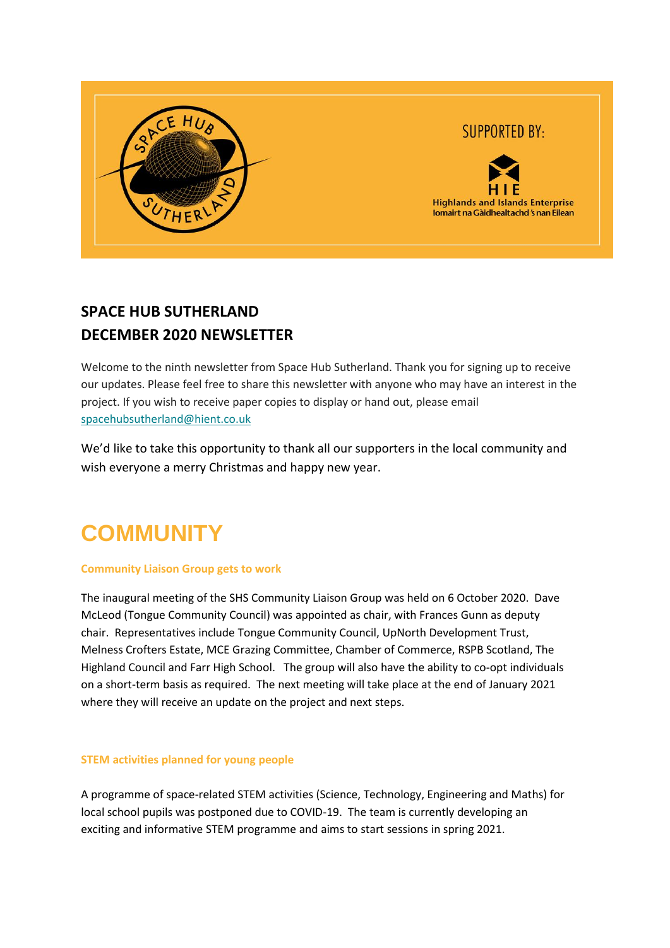

### **SPACE HUB SUTHERLAND DECEMBER 2020 NEWSLETTER**

Welcome to the ninth newsletter from Space Hub Sutherland. Thank you for signing up to receive our updates. Please feel free to share this newsletter with anyone who may have an interest in the project. If you wish to receive paper copies to display or hand out, please email [spacehubsutherland@hient.co.uk](mailto:spacehubsutherland@hient.co.uk)

We'd like to take this opportunity to thank all our supporters in the local community and wish everyone a merry Christmas and happy new year.

# **COMMUNITY**

### **Community Liaison Group gets to work**

The inaugural meeting of the SHS Community Liaison Group was held on 6 October 2020. Dave McLeod (Tongue Community Council) was appointed as chair, with Frances Gunn as deputy chair. Representatives include Tongue Community Council, UpNorth Development Trust, Melness Crofters Estate, MCE Grazing Committee, Chamber of Commerce, RSPB Scotland, The Highland Council and Farr High School. The group will also have the ability to co-opt individuals on a short-term basis as required. The next meeting will take place at the end of January 2021 where they will receive an update on the project and next steps.

### **STEM activities planned for young people**

A programme of space-related STEM activities (Science, Technology, Engineering and Maths) for local school pupils was postponed due to COVID-19. The team is currently developing an exciting and informative STEM programme and aims to start sessions in spring 2021.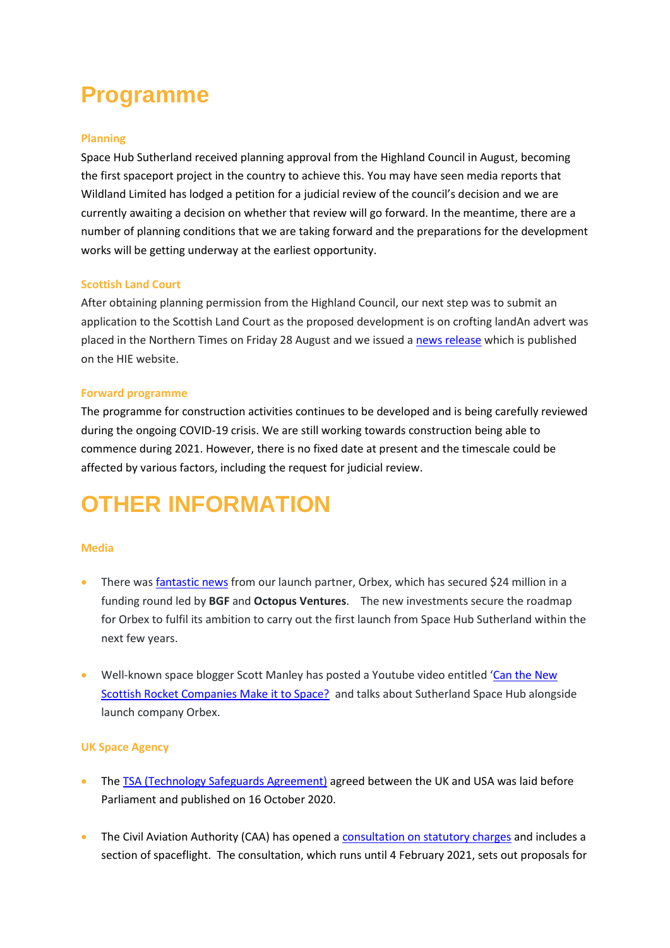## **Programme**

### **Planning**

Space Hub Sutherland received planning approval from the Highland Council in August, becoming the first spaceport project in the country to achieve this. You may have seen media reports that Wildland Limited has lodged a petition for a judicial review of the council's decision and we are currently awaiting a decision on whether that review will go forward. In the meantime, there are a number of planning conditions that we are taking forward and the preparations for the development works will be getting underway at the earliest opportunity.

### **Scottish Land Court**

After obtaining planning permission from the Highland Council, our next step was to submit an application to the Scottish Land Court as the proposed development is on crofting landAn advert was placed in the Northern Times on Friday 28 August and we issued [a news release](https://www.hie.co.uk/latest-news/2020/august/31/space-hub-sutherland-application-submitted-to-scottish-land-court/?returnUrl=%2Flatest-news%2F%3FcurrentPageId%3D1542%26page%3D1%26showAllResults%3Dfalse) which is published on the HIE website.

### **Forward programme**

The programme for construction activities continues to be developed and is being carefully reviewed during the ongoing COVID-19 crisis. We are still working towards construction being able to commence during 2021. However, there is no fixed date at present and the timescale could be affected by various factors, including the request for judicial review.

## **OTHER INFORMATION**

### **Media**

- There was **fantastic news** from our launch partner, Orbex, which has secured \$24 million in a funding round led by **BGF** and **Octopus Ventures**. The new investments secure the roadmap for Orbex to fulfil its ambition to carry out the first launch from Space Hub Sutherland within the next few years.
- Well-known space blogger Scott Manley has posted a Youtube video entitled 'Can the New [Scottish Rocket Companies Make it to Space?](https://www.youtube.com/watch?edufilter=NULL&v=3kYXPeUsBmQ) and talks about Sutherland Space Hub alongside launch company Orbex.

#### **UK Space Agency**

- The [TSA \(Technology Safeguards Agreement\)](https://eur02.safelinks.protection.outlook.com/?url=https%3A%2F%2Fwww.gov.uk%2Fgovernment%2Fpublications%2Fukusa-agreement-in-the-form-of-an-exchange-of-notes-between-the-united-kingdom-and-the-united-states-of-america-on-technology-safeguards-associated&data=04%7C01%7Cjune.love%40hient.co.uk%7C9d16011b7a8d4190540608d8736f7086%7C42cd146c1e204d8b8df0e184bb9a0994%7C0%7C0%7C637386269747539203%7CUnknown%7CTWFpbGZsb3d8eyJWIjoiMC4wLjAwMDAiLCJQIjoiV2luMzIiLCJBTiI6Ik1haWwiLCJXVCI6Mn0%3D%7C1000&sdata=%2FZKNzxgjVsXceHFe9QG%2Fj4EkwOURUY8AryFsjBdzQ9s%3D&reserved=0) agreed between the UK and USA was laid before Parliament and published on 16 October 2020.
- The Civil Aviation Authority (CAA) has opened a [consultation on statutory charges](https://consultations.caa.co.uk/finance/caa-charges-fy21-22/) and includes a section of spaceflight. The consultation, which runs until 4 February 2021, sets out proposals for